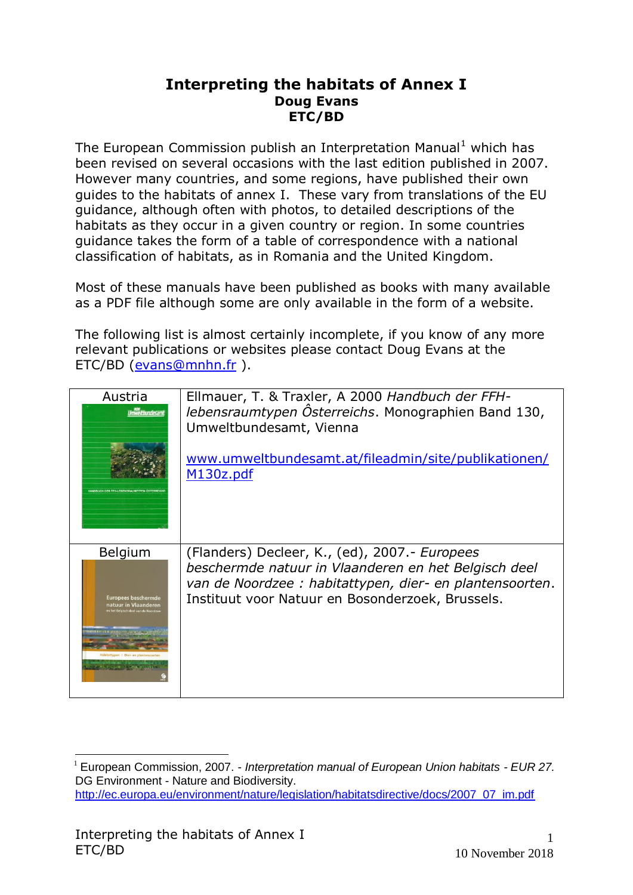## **Interpreting the habitats of Annex I Doug Evans ETC/BD**

The European Commission publish an Interpretation Manual<sup>1</sup> which has been revised on several occasions with the last edition published in 2007. However many countries, and some regions, have published their own guides to the habitats of annex I. These vary from translations of the EU guidance, although often with photos, to detailed descriptions of the habitats as they occur in a given country or region. In some countries guidance takes the form of a table of correspondence with a national classification of habitats, as in Romania and the United Kingdom.

Most of these manuals have been published as books with many available as a PDF file although some are only available in the form of a website.

The following list is almost certainly incomplete, if you know of any more relevant publications or websites please contact Doug Evans at the ETC/BD [\(evans@mnhn.fr](mailto:evans@mnhn.fr) ).

| Austria<br><b>Umweltbundesamt</b><br><b>HANDRUCH OFD FEH.I FRENSBAUNTYPEN ÖSTERREIC</b> | Ellmauer, T. & Traxler, A 2000 Handbuch der FFH-<br>lebensraumtypen Österreichs. Monographien Band 130,<br>Umweltbundesamt, Vienna<br>www.umweltbundesamt.at/fileadmin/site/publikationen/<br>M130z.pdf |
|-----------------------------------------------------------------------------------------|---------------------------------------------------------------------------------------------------------------------------------------------------------------------------------------------------------|
| <b>Belgium</b>                                                                          | (Flanders) Decleer, K., (ed), 2007.- Europees                                                                                                                                                           |
| <b>Europees beschermde</b>                                                              | beschermde natuur in Vlaanderen en het Belgisch deel                                                                                                                                                    |
| natuur in Vlaanderen                                                                    | van de Noordzee : habitattypen, dier- en plantensoorten.                                                                                                                                                |
| en het Belgisch deel van de Noord                                                       | Instituut voor Natuur en Bosonderzoek, Brussels.                                                                                                                                                        |

<sup>1</sup> European Commission, 2007. - *Interpretation manual of European Union habitats - EUR 27.*  DG Environment - Nature and Biodiversity. [http://ec.europa.eu/environment/nature/legislation/habitatsdirective/docs/2007\\_07\\_im.pdf](http://ec.europa.eu/environment/nature/legislation/habitatsdirective/docs/2007_07_im.pdf)

1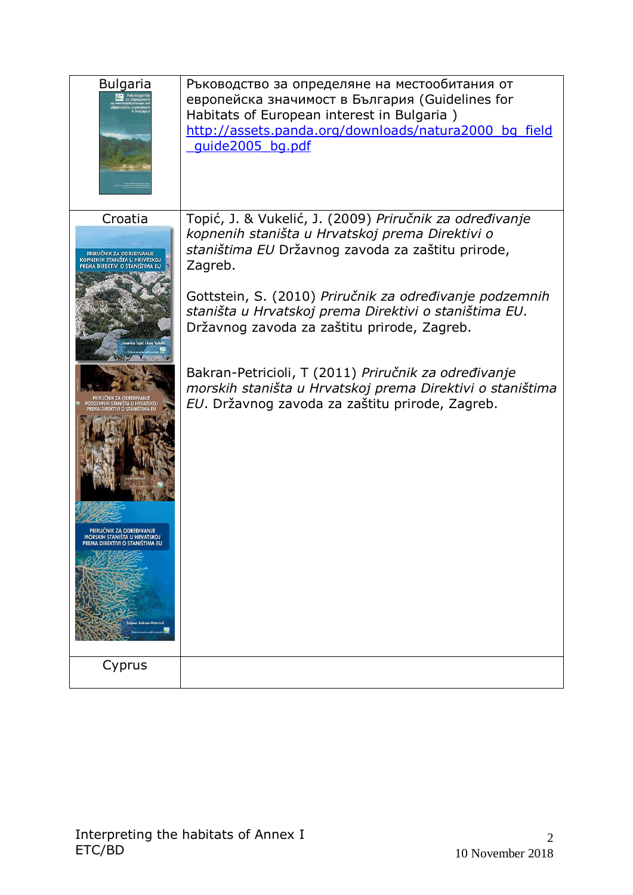| <b>Bulgaria</b>                                                                                                                                                                                                                                               | Ръководство за определяне на местообитания от<br>европейска значимост в България (Guidelines for<br>Habitats of European interest in Bulgaria)<br>http://assets.panda.org/downloads/natura2000 bg field<br>quide2005 bg.pdf                                                                                                                                                                                                                                                                                           |
|---------------------------------------------------------------------------------------------------------------------------------------------------------------------------------------------------------------------------------------------------------------|-----------------------------------------------------------------------------------------------------------------------------------------------------------------------------------------------------------------------------------------------------------------------------------------------------------------------------------------------------------------------------------------------------------------------------------------------------------------------------------------------------------------------|
| Croatia<br>PRIRUČNIK ZA ODREĐIVANJE<br>KOPNENIH STANIŠTA U HRVATSKOJ<br>PREMA DIREKTIVI O STANIŠTIMA EU<br>NIH STANISTA U HRVATSKO.<br>REKTIVI O STANIŠTIMA E<br>PRIRLICNIK 7A ODREĐIVANJI<br>MORSKIH STANIŠTA U HRVATSKOJ<br>PREMA DIREKTIVI O STANIŠTIMA EU | Topić, J. & Vukelić, J. (2009) Priručnik za određivanje<br>kopnenih staništa u Hrvatskoj prema Direktivi o<br>staništima EU Državnog zavoda za zaštitu prirode,<br>Zagreb.<br>Gottstein, S. (2010) Priručnik za određivanje podzemnih<br>staništa u Hrvatskoj prema Direktivi o staništima EU.<br>Državnog zavoda za zaštitu prirode, Zagreb.<br>Bakran-Petricioli, T (2011) Priručnik za određivanje<br>morskih staništa u Hrvatskoj prema Direktivi o staništima<br>EU. Državnog zavoda za zaštitu prirode, Zagreb. |
| Cyprus                                                                                                                                                                                                                                                        |                                                                                                                                                                                                                                                                                                                                                                                                                                                                                                                       |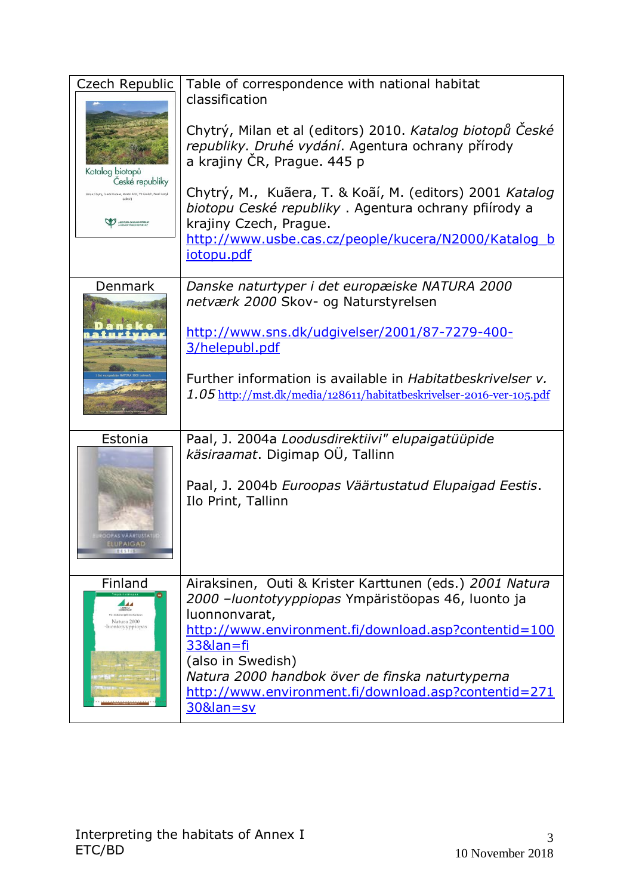| Czech Republic<br>Katalog biotopů<br>České republiky<br>.<br>Milan Chytrý, Tamáš Kučera, Martin Koči, Vít Grulich, Pavel Lustyk<br>A AGENTURA OCHRANY PŘÍROD | Table of correspondence with national habitat<br>classification<br>Chytrý, Milan et al (editors) 2010. Katalog biotopů České<br>republiky. Druhé vydání. Agentura ochrany přírody<br>a krajiny ČR, Prague. 445 p<br>Chytrý, M., Kuãera, T. & Koãí, M. (editors) 2001 Katalog<br>biotopu Ceské republiky. Agentura ochrany pfiírody a<br>krajiny Czech, Prague.<br>http://www.usbe.cas.cz/people/kucera/N2000/Katalog_b<br>iotopu.pdf |
|--------------------------------------------------------------------------------------------------------------------------------------------------------------|--------------------------------------------------------------------------------------------------------------------------------------------------------------------------------------------------------------------------------------------------------------------------------------------------------------------------------------------------------------------------------------------------------------------------------------|
| Denmark                                                                                                                                                      | Danske naturtyper i det europæiske NATURA 2000<br>netværk 2000 Skov- og Naturstyrelsen<br>http://www.sns.dk/udgivelser/2001/87-7279-400-<br>3/helepubl.pdf<br>Further information is available in Habitatbeskrivelser v.<br>1.05 http://mst.dk/media/128611/habitatbeskrivelser-2016-ver-105.pdf                                                                                                                                     |
| Estonia<br><b>JOPAS VÄÄRTUSTATE</b><br><b>ELUPAIGAD</b><br><b>EESTER</b>                                                                                     | Paal, J. 2004a Loodusdirektiivi" elupaigatüüpide<br>käsiraamat. Digimap OÜ, Tallinn<br>Paal, J. 2004b Euroopas Väärtustatud Elupaigad Eestis.<br>Ilo Print, Tallinn                                                                                                                                                                                                                                                                  |
| Finland<br>Natura 2000<br>-luontotyyppiopas                                                                                                                  | Airaksinen, Outi & Krister Karttunen (eds.) 2001 Natura<br>2000 - luontotyyppiopas Ympäristöopas 46, luonto ja<br>luonnonvarat,<br>http://www.environment.fi/download.asp?contentid=100<br>33&lan=fi<br>(also in Swedish)<br>Natura 2000 handbok över de finska naturtyperna<br>http://www.environment.fi/download.asp?contentid=271<br>30&lan=sv                                                                                    |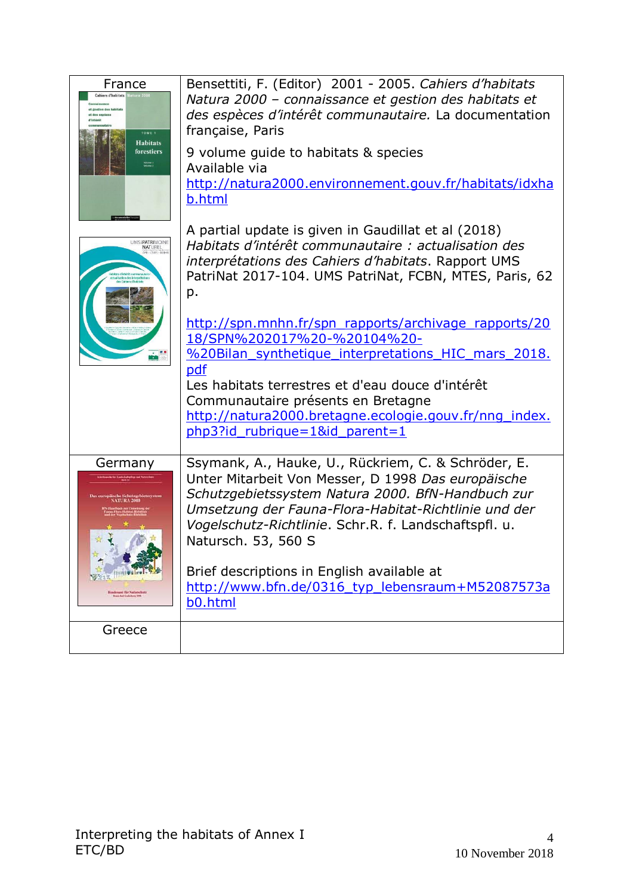| France<br><b>Cahiers d'habitats</b> Natura 200<br>TOME 1<br><b>Habitats</b><br>forestiers<br>Volume 1<br>Volume 2 | Bensettiti, F. (Editor) 2001 - 2005. Cahiers d'habitats<br>Natura 2000 - connaissance et gestion des habitats et<br>des espèces d'intérêt communautaire. La documentation<br>française, Paris<br>9 volume guide to habitats & species<br>Available via<br>http://natura2000.environnement.gouv.fr/habitats/idxha<br>b.html                                                                                                                                                                                                                                                     |
|-------------------------------------------------------------------------------------------------------------------|--------------------------------------------------------------------------------------------------------------------------------------------------------------------------------------------------------------------------------------------------------------------------------------------------------------------------------------------------------------------------------------------------------------------------------------------------------------------------------------------------------------------------------------------------------------------------------|
| UMSEPATRIMOINE                                                                                                    | A partial update is given in Gaudillat et al (2018)<br>Habitats d'intérêt communautaire : actualisation des<br>interprétations des Cahiers d'habitats. Rapport UMS<br>PatriNat 2017-104. UMS PatriNat, FCBN, MTES, Paris, 62<br>p.<br>http://spn.mnhn.fr/spn rapports/archivage rapports/20<br>18/SPN%202017%20-%20104%20-<br>%20Bilan synthetique interpretations HIC mars 2018.<br>pdf<br>Les habitats terrestres et d'eau douce d'intérêt<br>Communautaire présents en Bretagne<br>http://natura2000.bretagne.ecologie.gouv.fr/nng index.<br>php3?id rubrique=1&id parent=1 |
| Germany<br>che Schutzgebietssystem<br>of får Natioveltott                                                         | Ssymank, A., Hauke, U., Rückriem, C. & Schröder, E.<br>Unter Mitarbeit Von Messer, D 1998 Das europäische<br>Schutzgebietssystem Natura 2000. BfN-Handbuch zur<br>Umsetzung der Fauna-Flora-Habitat-Richtlinie und der<br>Vogelschutz-Richtlinie. Schr.R. f. Landschaftspfl. u.<br>Natursch. 53, 560 S<br>Brief descriptions in English available at<br>http://www.bfn.de/0316 typ lebensraum+M52087573a<br>b0.html                                                                                                                                                            |
| Greece                                                                                                            |                                                                                                                                                                                                                                                                                                                                                                                                                                                                                                                                                                                |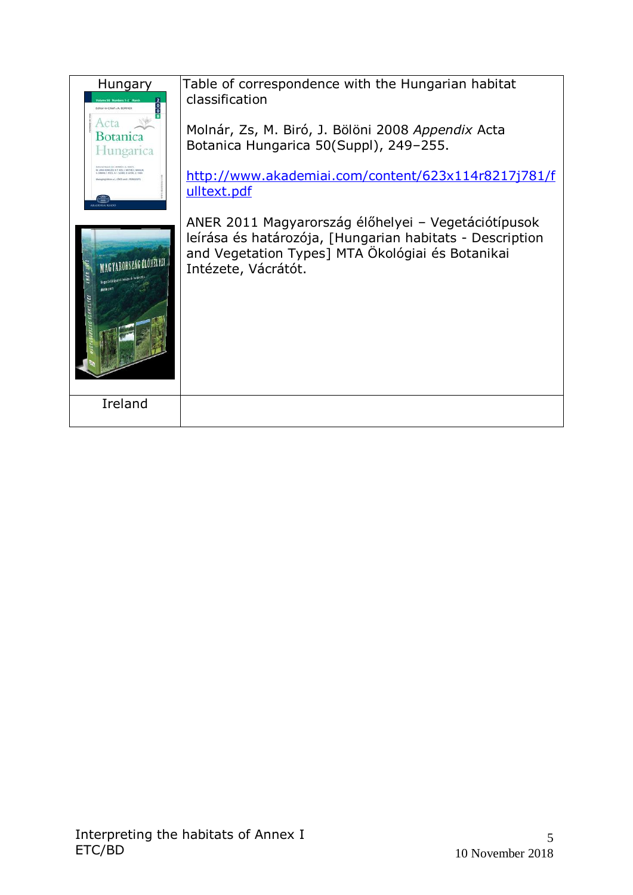| Hungary<br>Editor-in-Chief - A BORHOL<br>Acta<br>Botanica<br>Hungarica                                          | Table of correspondence with the Hungarian habitat<br>classification<br>Molnár, Zs, M. Biró, J. Bölöni 2008 Appendix Acta<br>Botanica Hungarica 50(Suppl), 249-255.                        |
|-----------------------------------------------------------------------------------------------------------------|--------------------------------------------------------------------------------------------------------------------------------------------------------------------------------------------|
| to activate children in the series in tendered, at the<br>LT FOCS A T STARLE SIDELE TUB                         | http://www.akademiai.com/content/623x114r8217j781/f<br>ulltext.pdf                                                                                                                         |
| RORSZÁG ÉLŐHELYEI<br>$\frac{1}{2}$<br>Wegetelölipusak leitász és batán<br><b>ANER 2011</b><br><b>EX ONELYEA</b> | ANER 2011 Magyarország élőhelyei – Vegetációtípusok<br>leírása és határozója, [Hungarian habitats - Description<br>and Vegetation Types] MTA Ökológiai és Botanikai<br>Intézete, Vácrátót. |
| Ireland                                                                                                         |                                                                                                                                                                                            |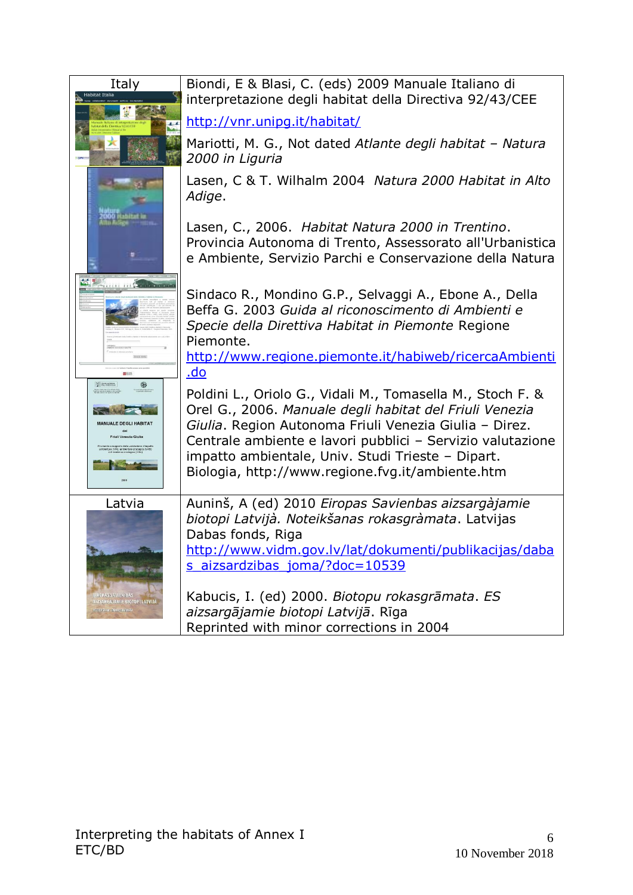| Italy<br><b>Habitat Italia</b>                               | Biondi, E & Blasi, C. (eds) 2009 Manuale Italiano di<br>interpretazione degli habitat della Directiva 92/43/CEE                                                                                                                            |
|--------------------------------------------------------------|--------------------------------------------------------------------------------------------------------------------------------------------------------------------------------------------------------------------------------------------|
|                                                              | http://vnr.unipg.it/habitat/                                                                                                                                                                                                               |
|                                                              | Mariotti, M. G., Not dated Atlante degli habitat - Natura<br>2000 in Liguria                                                                                                                                                               |
|                                                              | Lasen, C & T. Wilhalm 2004 Natura 2000 Habitat in Alto<br>Adige.                                                                                                                                                                           |
|                                                              | Lasen, C., 2006. Habitat Natura 2000 in Trentino.<br>Provincia Autonoma di Trento, Assessorato all'Urbanistica<br>e Ambiente, Servizio Parchi e Conservazione della Natura                                                                 |
| 111111 111 Concorner                                         | Sindaco R., Mondino G.P., Selvaggi A., Ebone A., Della<br>Beffa G. 2003 Guida al riconoscimento di Ambienti e<br>Specie della Direttiva Habitat in Piemonte Regione<br>Piemonte.<br>http://www.regione.piemonte.it/habiweb/ricercaAmbienti |
|                                                              | <u>.do</u>                                                                                                                                                                                                                                 |
|                                                              | Poldini L., Oriolo G., Vidali M., Tomasella M., Stoch F. &                                                                                                                                                                                 |
|                                                              | Orel G., 2006. Manuale degli habitat del Friuli Venezia                                                                                                                                                                                    |
| <b>MANUALE DEGLI HABITAT</b><br>del<br>Friuli Venezia Giulia | Giulia. Region Autonoma Friuli Venezia Giulia - Direz.                                                                                                                                                                                     |
|                                                              | Centrale ambiente e lavori pubblici - Servizio valutazione<br>impatto ambientale, Univ. Studi Trieste - Dipart.                                                                                                                            |
|                                                              | Biologia, http://www.regione.fvg.it/ambiente.htm                                                                                                                                                                                           |
| Latvia                                                       | Auninš, A (ed) 2010 Eiropas Savienbas aizsargàjamie                                                                                                                                                                                        |
|                                                              | biotopi Latvijà. Noteikšanas rokasgràmata. Latvijas<br>Dabas fonds, Riga                                                                                                                                                                   |
|                                                              | http://www.vidm.gov.lv/lat/dokumenti/publikacijas/daba                                                                                                                                                                                     |
|                                                              | s aizsardzibas joma/?doc=10539                                                                                                                                                                                                             |
| <b>IROPAS SAVIENIBAS</b>                                     | Kabucis, I. (ed) 2000. Biotopu rokasgrāmata. ES                                                                                                                                                                                            |
| AIZSARGAJAMIE BIOTOPI LATVIJA<br>OTEIKŠAMAS ROKASSRĀMATA     | aizsargājamie biotopi Latvijā. Rīga                                                                                                                                                                                                        |
|                                                              | Reprinted with minor corrections in 2004                                                                                                                                                                                                   |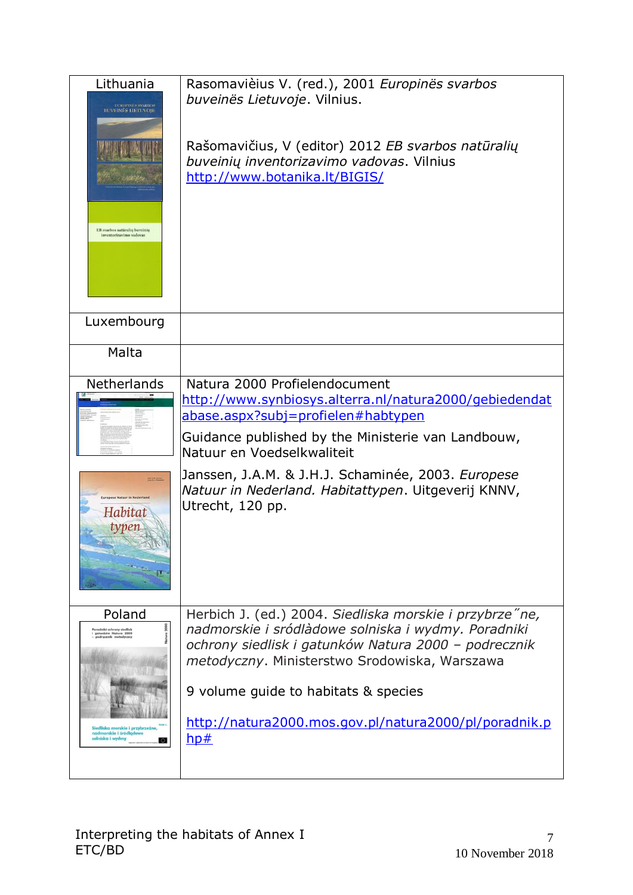| Lithuania<br><b>EUROPINÉS SVARBOS</b><br><b>BUVEINĖS LIETUVOJE</b><br>EB svarbos natūralių buveinių<br>inventorizavimo vadovas                                                   | Rasomavièius V. (red.), 2001 Europinës svarbos<br>buveinës Lietuvoje. Vilnius.<br>Rašomavičius, V (editor) 2012 EB svarbos natūralių<br>buveinių inventorizavimo vadovas. Vilnius<br>http://www.botanika.lt/BIGIS/                                                                                                                                        |
|----------------------------------------------------------------------------------------------------------------------------------------------------------------------------------|-----------------------------------------------------------------------------------------------------------------------------------------------------------------------------------------------------------------------------------------------------------------------------------------------------------------------------------------------------------|
| Luxembourg                                                                                                                                                                       |                                                                                                                                                                                                                                                                                                                                                           |
| Malta                                                                                                                                                                            |                                                                                                                                                                                                                                                                                                                                                           |
| Netherlands<br>ropese Nation in Nederland<br>Habitat<br>typen                                                                                                                    | Natura 2000 Profielendocument<br>http://www.synbiosys.alterra.nl/natura2000/gebiedendat<br><u>abase.aspx?subj=profielen#habtypen</u><br>Guidance published by the Ministerie van Landbouw,<br>Natuur en Voedselkwaliteit<br>Janssen, J.A.M. & J.H.J. Schaminée, 2003. Europese<br>Natuur in Nederland. Habitattypen. Uitgeverij KNNV,<br>Utrecht, 120 pp. |
|                                                                                                                                                                                  |                                                                                                                                                                                                                                                                                                                                                           |
| Poland<br>adniki ochrony siedlisk<br>gatunków Natura 2000<br>podręcznik metodyczny<br>Siedliska morskie i przybrzeżne,<br>nadmorskie i śródlądowe<br>solniska i wydmy<br>$\circ$ | Herbich J. (ed.) 2004. Siedliska morskie i przybrze ne,<br>nadmorskie i sródlàdowe solniska i wydmy. Poradniki<br>ochrony siedlisk i gatunków Natura 2000 - podrecznik<br>metodyczny. Ministerstwo Srodowiska, Warszawa<br>9 volume guide to habitats & species<br>http://natura2000.mos.gov.pl/natura2000/pl/poradnik.p<br>hp#                           |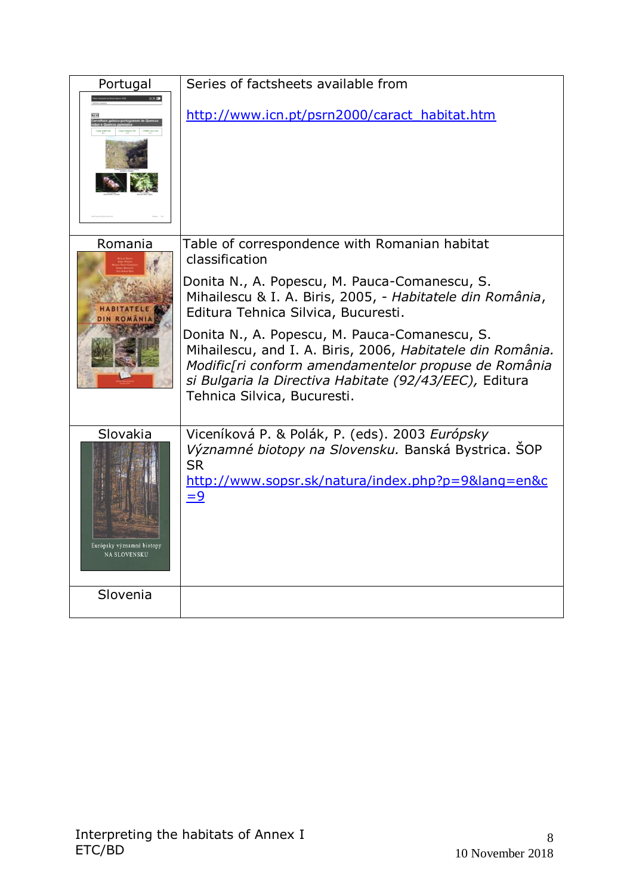| Portugal                                              | Series of factsheets available from                                                                                                                                                                                                                                                                                                                                                                                                                                                  |
|-------------------------------------------------------|--------------------------------------------------------------------------------------------------------------------------------------------------------------------------------------------------------------------------------------------------------------------------------------------------------------------------------------------------------------------------------------------------------------------------------------------------------------------------------------|
|                                                       | http://www.icn.pt/psrn2000/caract_habitat.htm                                                                                                                                                                                                                                                                                                                                                                                                                                        |
| Romania                                               | Table of correspondence with Romanian habitat<br>classification<br>Donita N., A. Popescu, M. Pauca-Comanescu, S.<br>Mihailescu & I. A. Biris, 2005, - Habitatele din România,<br>Editura Tehnica Silvica, Bucuresti.<br>Donita N., A. Popescu, M. Pauca-Comanescu, S.<br>Mihailescu, and I. A. Biris, 2006, Habitatele din România.<br>Modific[ri conform amendamentelor propuse de România<br>si Bulgaria la Directiva Habitate (92/43/EEC), Editura<br>Tehnica Silvica, Bucuresti. |
| Slovakia<br>Európsky významné biotopy<br>NA SLOVENSKU | Viceníková P. & Polák, P. (eds). 2003 Európsky<br>Významné biotopy na Slovensku. Banská Bystrica. SOP<br><b>SR</b><br>http://www.sopsr.sk/natura/index.php?p=9⟨=en&c<br>$=9$                                                                                                                                                                                                                                                                                                         |
| Slovenia                                              |                                                                                                                                                                                                                                                                                                                                                                                                                                                                                      |